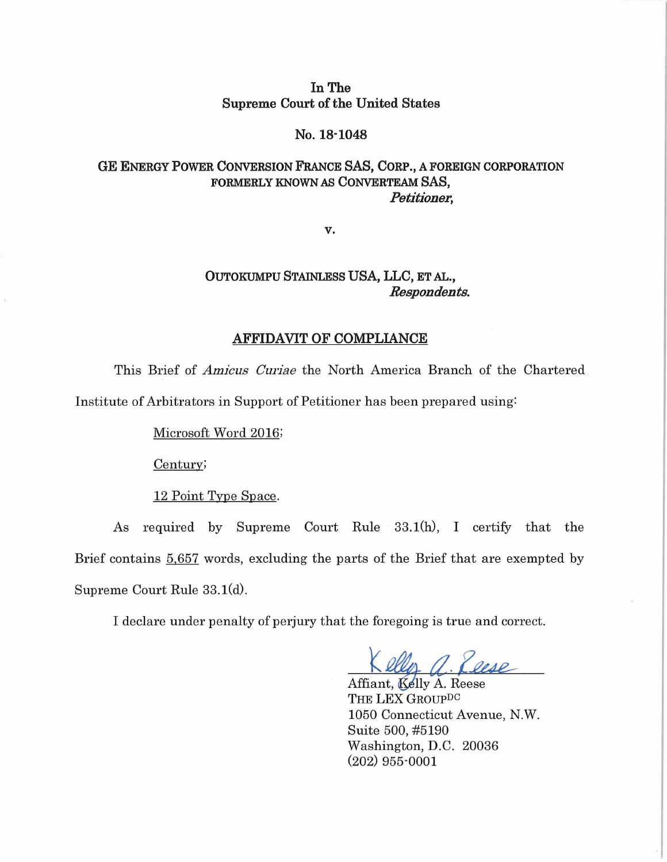### **In The Supreme Court of the United States**

#### **No. 18·1048**

# **GE ENERGY POWER CONVERSION FRANCE SAS, CORP., A FOREIGN CORPORATION FORMERLY KNOWN** *AS* **CONVERTEAM SAS,**  *Petitioner,*

**v.** 

# **OUTOKUMPU STAINLESS USA, LLC, ET** AL., *Respondents.*

#### **AFFIDAVIT OF COMPLIANCE**

This Brief of *Amicus CUI·iae* the North America Branch of the Chartered Institute of Arbitrators in Support of Petitioner has been prepared using:

Microsoft Word 2016;

Century;

12 Point Type Space.

As required by Supreme Court Rule 33.1(h), I certify that the Brief contains 5,657 words, excluding the parts of the Brief that are exempted by Supreme Court Rule 33.1(d).

I declare under penalty of perjury that the foregoing is true and correct.

Kelly a. Reese

Affiant, Kelly A. Reese THE LEX GROUP<sup>DC</sup> 1050 Connecticut Avenue, N.W. Suite 500, #5190 Washington, D.C. 20036 (202) 955·0001